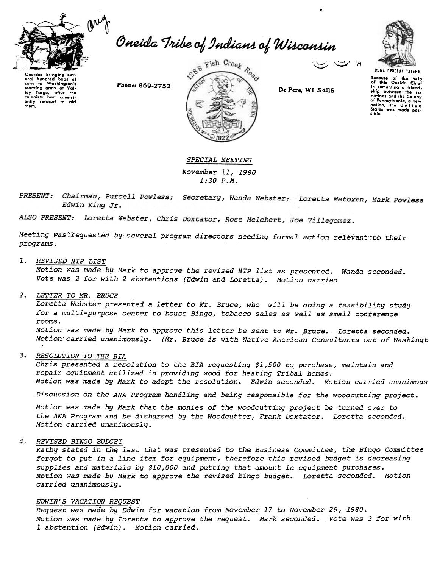

Oneida Tribe of Indians of Wisconsin



Oneidas brinaina eral hundred Washington's  $\overline{10}$ corn starving army at Val-<br>ley Forge, after the ently refused to aid

Phone: 869-2752



De Pere, WI 54115

**UGWA DEHOLUH YATEHE** Bocause of the help<br>of this Oneida Chief in comenting a friendnations and the Colony nations and the colony<br>of Pennsylvania, a new<br>nation, the United States was made possible.

SPECIAL MEETING November 11, 1980  $1:30 P.M.$ 

Chairman, Purcell Powless; Secretary, Wanda Webster; Loretta Metoxen, Mark Powless PRESENT: Edwin King Jr.

ALSO PRESENT: Loretta Webster, Chris Doxtator, Rose Melchert, Joe Villegomez.

Meeting was requested by several program directors needing formal action relevant to their programs.

## 1. REVISED HIP LIST

Motion was made by Mark to approve the revised HIP list as presented. Wanda seconded. Vote was 2 for with 2 abstentions (Edwin and Loretta). Motion carried

## 2. LETTER TO MR. BRUCE

Loretta Webster presented a letter to Mr. Bruce, who will be doing a feasibility study for a multi-purpose center to house Bingo, tobacco sales as well as small conference rooms.

Motion was made by Mark to approve this letter be sent to Mr. Bruce. Loretta seconded. Motion carried unanimously. (Mr. Bruce is with Native American Consultants out of Washingt

## 3. RESOLUTION TO THE BIA

Chris presented a resolution to the BIA requesting \$1,500 to purchase, maintain and repair equipment utilized in providing wood for heating Tribal homes. Motion was made by Mark to adopt the resolution. Edwin seconded. Motion carried unanimous

Discussion on the ANA Program handling and being responsible for the woodcutting project.

Motion was made by Mark that the monies of the woodcutting project be turned over to the ANA Program and be disbursed by the Woodcutter, Frank Doxtator. Loretta seconded. Motion carried unanimously.

## 4. REVISED BINGO BUDGET

Kathy stated in the last that was presented to the Business Committee, the Bingo Committee forgot to put in a line item for equipment, therefore this revised budget is decreasing supplies and materials by \$10,000 and putting that amount in equipment purchases. Motion was made by Mark to approve the revised bingo budget. Loretta seconded. Motion carried unanimously.

### EDWIN'S VACATION REQUEST

Request was made by Edwin for vacation from November 17 to November 26, 1980. Motion was made by Loretta to approve the request. Mark seconded. Vote was 3 for with 1 abstention (Edwin). Motion carried.